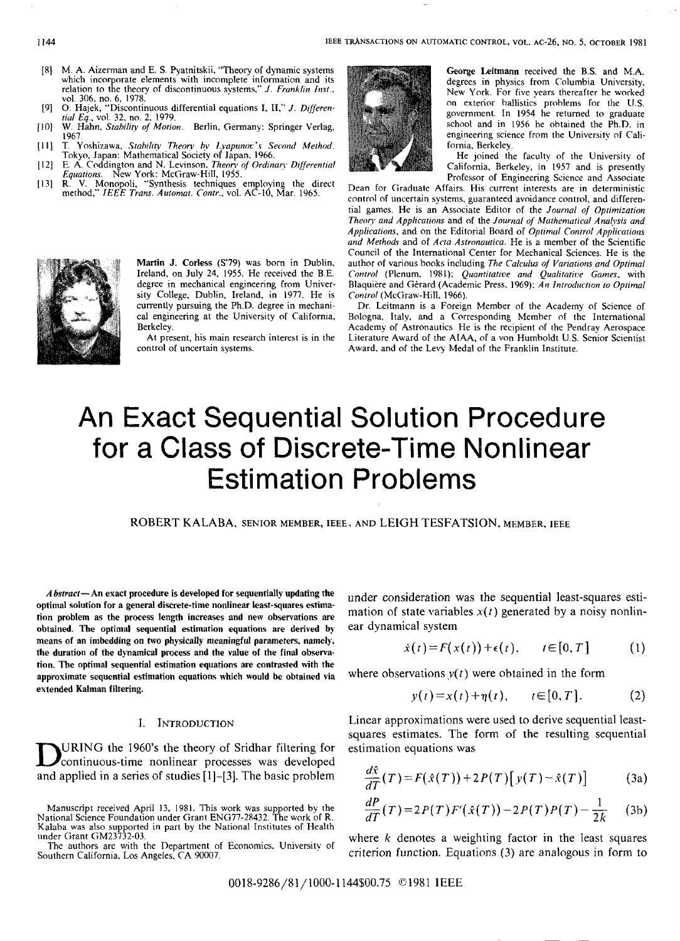- M. A. Aizerman and E. S. Pyatnitskii. "Theory of dynamic systems<br>which incorporate elements with incomplete information and its [8] M. A. Aizerman and E. S. Pyatnitskii, "Theory of dynamic systems relation to the theory of discontinuous systems," *J. Franklin Inst.*, vol. 306. no. 6. 1978.
- *0.* Hajek. "Discontinuous differential equations I. **11,"** *J. Difierenrid Ea..* vol. 32. no. 2. 1979.
- $[10]$ W. Hahn, *Stability of Motion*. Berlin, Germany: Springer Verlag, 1967.
- 1967.<br>T. Yoshizawa, *Stability Theory by Lyapuno*c's Second Method.<br>Tokyo, Japan: Mathematical Society of Japan. 1966.<br>E. A. Coddington and N. Levinson. *Theory of Ordinary Differential*  $[11]$
- $[12]$ *Equations.* New York: McGraw-Hill, 1955.
- $[13]$ R. **V.** Monopoli, "Synthesis techniques employing the direct method." *IEEE Trans. Automar. Contr.,* vol. AC-IO. Mar. 1965.



Martin **J. Corless (s'79) was** born in Dublin. Ireland. on July 24, 1955. He received the B.E. degree in mechanical engineering from University College, Dublin. Ireland. in 1977. He is currently pursuing the Ph.D. degree in mechanical engineering at the University of California. Berkeley.

At present, his main research interest is in the control of uncertain systems.



George Leitmann received the B.S. and **MA.**  degrees in physics from Columbia University, New York. For five years thereafter he worked on exterior ballistics prohlems for the LJ.S. government. In 1954 he returned to graduate school and in 1956 he ohtained the Ph.D. in engineering science from the University of California. Berkeley.

He Joined the faculty of the University of California, Berkeley. in 1957 and is presently Professor of Engineering Science and Associate

Dean for Graduate Affairs. His current interests are in deterministic control of uncertain systems. guaranteed avoidance control, and differential games. He is an Associate Editor of the *Journal* of *Oprimization Theory and Applications and of the Journal of Mathematical Analysis and Applicarions.* and on the Editorial Board of *Oprrmal Control Applications and Methods* and of *Acra Astronaurica.* He is a member of the Scientific Council of the International Center for Mechanical Sciences. He is the author of various hooks including *The Calculus of Variations and Optimal Control* (Plenum. 1981); *Quantiratice and Qualitatice Games.* with Blaquière and Gérard (Academic Press, 1969): *An Introduction to Optimal Conrrol* (McGraw-Hill. 1966).

Dr. Leitmann is a Foreign Member of the Academy of Science of Bologna. Italy. and a Corresponding Memher of the International Academy of Astronautics He is the recipient of the Pendray Aerospace Literature Award of the **AIAA.** of a von Humboldt **U.S.** Senior Scientist Award. and of the Ley Medal of the Franklin Institute.

# An Exact Sequential Solution Procedure for a Class of Discrete-Time Nonlinear Estimation Problems

ROBERT KALABA, SENIOR MEMBER, IEEE, AND LEIGH TESFATSION, MEMBER, IEEE

*A6struct-* An exact procedure is developed **for** sequentially updating the optimal solution **for a** general discrete-time nonlinear least-squares estimation problem as the process length increases and new observations are obtained. The **optimal** sequential estimation equations are derived bymeans **of** an imbedding on two **physically** meaningful parameters. namely. **the** duration **of** the dynamical process and the value of the final observation. The **optimal** sequential estimation equations are contrasted with the approximate sequential estimation equations which would be obtained via extended Kalman filtering.

### I. **INTRODUCTION**

DURING the 1960's the theory of Sridhar filtering for<br>
continuous-time nonlinear processes was developed and applied in a series of studies [1]-[3]. The basic problem

Manuscript received April 13, 1981. This work was supported by the National Science Foundation under Grant ENG77-28432. The work of R. Kalaha was also supported in part by the National Institutes of Health under Grant GM23732-03.

Southern California, Los Angeles, CA 90007. The authors are with the Department of Economics. University of

under consideration was the sequential least-squares estimation of state variables  $x(t)$  generated by a noisy nonlinear dynamical system

$$
\dot{x}(t) = F(x(t)) + \epsilon(t), \qquad t \in [0, T] \tag{1}
$$

where observations  $y(t)$  were obtained in the form

$$
y(t) = x(t) + \eta(t), \qquad t \in [0, T].
$$
 (2)

Linear approximations were used to derive sequential leastsquares estimates. The form of the resulting sequential estimation equations was

$$
\frac{d\hat{x}}{dT}(T) = F(\hat{x}(T)) + 2P(T)[y(T) - \hat{x}(T)] \tag{3a}
$$

$$
\frac{dP}{dT}(T) = 2P(T)F'(\hat{x}(T)) - 2P(T)P(T) - \frac{1}{2k}
$$
 (3b)

where *k* denotes a weighting factor in the least squares criterion function. Equations (3) are analogous in form to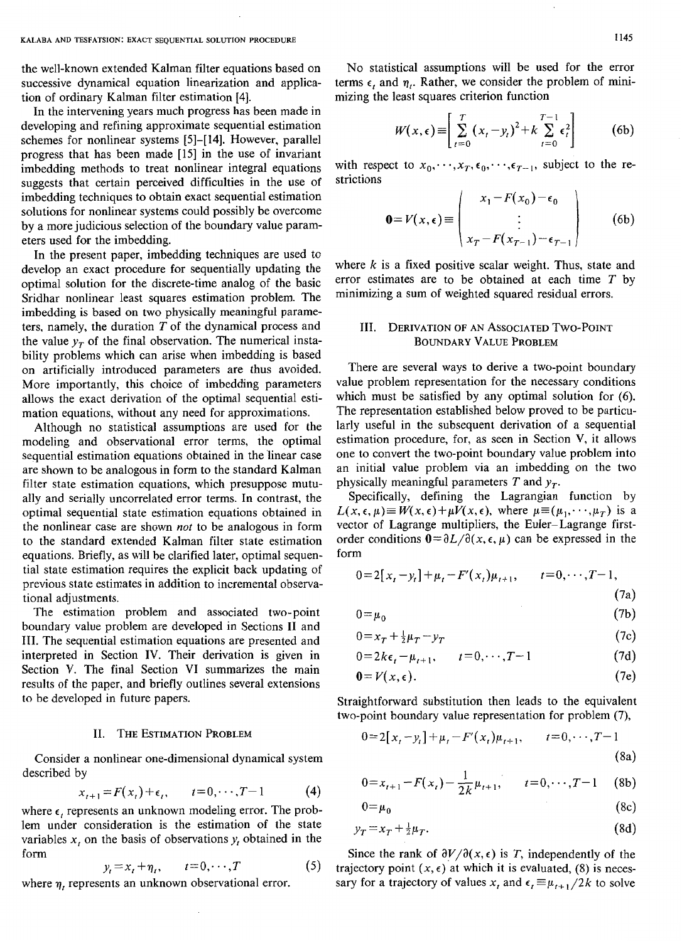the well-known extended Kalman filter equations based on successive dynamical equation linearization and application of ordinary Kalman filter estimation [4].

In the intervening years much progress has been made in developing and refining approximate sequential estimation schemes for nonlinear systems [5]-[14]. However, parallel progress that has been made [15] in the use of invariant imbedding methods to treat nonlinear integral equations suggests that certain perceived difficulties in the use of imbedding techniques to obtain exact sequential estimation solutions for nonlinear systems could possibly be overcome by a more judicious selection of the boundary value parameters used for the imbedding.

In the present paper, imbedding techniques are used to develop an exact procedure for sequentially updating the optimal solution for the discrete-time analog of the basic Sridhar nonlinear least squares estimation problem. The imbedding is based on two physically meaningful parameters, namely, the duration  $T$  of the dynamical process and the value  $y_T$  of the final observation. The numerical instability problems which can arise when imbedding is based on artificially introduced parameters are thus avoided. More importantly, this choice of imbedding parameters allows the exact derivation of the optimal sequential estimation equations, without any need for approximations.

Although no statistical assumptions are used for the modeling and observational error terms, the optimal sequential estimation equations obtained in the linear case are shown to be analogous in form to the standard Kalman filter state estimation equations, which presuppose mutually and serially uncorrelated error terms. In contrast, the optimal sequential state estimation equations obtained in the nonlinear case are shown *not* to be analogous in form to the standard extended Kalman filter state estimation equations. Briefly, as will be clarified later, optimal sequential state estimation requires the explicit back updating of previous state estimates in addition to incremental observational adjustments.

The estimation problem and associated two-point boundary value problem are developed in Sections I1 and 111. The sequential estimation equations are presented and interpreted in Section IV. Their derivation is given in Section V. The final Section VI summarizes the main results of the paper, and briefly outlines several extensions to be developed in future papers.

#### **11. THE ESTIMATION PROBLEM**

Consider a nonlinear one-dimensional dynamical system described by

$$
x_{t+1} = F(x_t) + \epsilon_t, \qquad t = 0, \cdots, T-1 \tag{4}
$$

where  $\epsilon$ , represents an unknown modeling error. The problem under consideration is the estimation of the state variables  $x_t$  on the basis of observations  $y_t$  obtained in the form

$$
y_t = x_t + \eta_t, \qquad t = 0, \cdots, T \tag{5}
$$

where  $\eta_t$  represents an unknown observational error.

No statistical assumptions will be used for the error terms  $\epsilon$ , and  $\eta$ . Rather, we consider the problem of minimizing the least squares criterion function

$$
W(x,\epsilon) \equiv \left[ \sum_{t=0}^{T} (x_t - y_t)^2 + k \sum_{t=0}^{T-1} \epsilon_t^2 \right]
$$
 (6b)

with respect to  $x_0, \dots, x_T, \epsilon_0, \dots, \epsilon_{T-1}$ , subject to the restrictions

$$
\mathbf{0} = V(x, \epsilon) \equiv \begin{pmatrix} x_1 - F(x_0) - \epsilon_0 \\ \vdots \\ x_T - F(x_{T-1}) - \epsilon_{T-1} \end{pmatrix}
$$
 (6b)

where *k* is a fixed positive scalar weight. Thus, state and error estimates are to be obtained at each time *T* by minimizing a sum of weighted squared residual errors.

## 111. **DERIVATION OF AN ASSOCIATED TWO-POINT BOUNDARY** VALUE **PROBLEM**

There are several ways to derive a two-point boundary value problem representation for the necessary conditions which must be satisfied by any optimal solution for  $(6)$ . The representation established below proved to be particularly useful in the subsequent derivation of a sequential estimation procedure, for, as seen in Section **V,** it allows one to convert the two-point boundary value problem into an initial value problem via an imbedding on the two physically meaningful parameters  $T$  and  $y_T$ .

Specifically, defining the Lagrangian function by  $L(x, \epsilon, \mu) \equiv W(x, \epsilon) + \mu V(x, \epsilon)$ , where  $\mu \equiv (\mu_1, \dots, \mu_T)$  is a vector of Lagrange multipliers, the Euler-Lagrange firstorder conditions  $0 = \partial L / \partial(x, \epsilon, \mu)$  can be expressed in the form

$$
0 = 2[x_t - y_t] + \mu_t - F'(x_t)\mu_{t+1}, \qquad t = 0, \cdots, T-1,
$$
\n(7a)

$$
0 = \mu_0 \tag{7b}
$$

$$
0 = x_T + \frac{1}{2}\mu_T - y_T \tag{7c}
$$

$$
0 = 2k\epsilon_t - \mu_{t+1}, \qquad t = 0, \cdots, T-1 \tag{7d}
$$

$$
0 = V(x, \epsilon). \tag{7e}
$$

Straightforward substitution then leads to the equivalent two-point boundary value representation for problem (7),

$$
0=2[x_{t}-y_{t}]+\mu_{t}-F'(x_{t})\mu_{t+1}, \qquad t=0,\cdots,T-1
$$
\n(8a)

$$
0 = x_{t+1} - F(x_t) - \frac{1}{2k} \mu_{t+1}, \qquad t = 0, \cdots, T-1 \quad (8b)
$$

$$
0 = \mu_0 \tag{8c}
$$

$$
y_T = x_T + \frac{1}{2}\mu_T. \tag{8d}
$$

Since the rank of  $\partial V/\partial(x, \epsilon)$  is *T*, independently of the trajectory point  $(x, \epsilon)$  at which it is evaluated, (8) is necessary for a trajectory of values  $x_i$ , and  $\epsilon_i \equiv \mu_{i+1}/2k$  to solve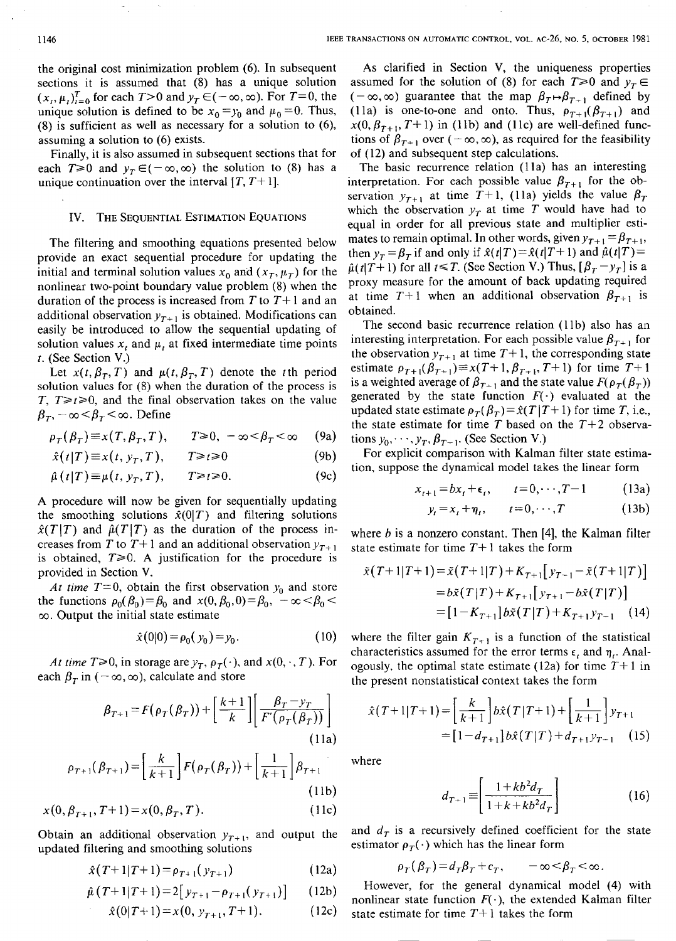the original cost minimization problem *(6).* In subsequent sections it is assumed that (8) has a unique solution  $(x_i, \mu_i)_{i=0}^T$  for each  $T>0$  and  $y_T \in (-\infty, \infty)$ . For  $T=0$ , the unique solution is defined to be  $x_0 = y_0$  and  $\mu_0 = 0$ . Thus, **(8)** is sufficient as well as necessary for a solution to **(6),**  assuming a solution to (6) exists.

Finally, it is also assumed in subsequent sections that for each  $T\geq 0$  and  $y_T \in (-\infty, \infty)$  the solution to (8) has a unique continuation over the interval  $[T, T+1]$ .

#### **IV.** THE SEQUENTIAL ESTIMATION EQUATIONS

The filtering and smoothing equations presented below provide an exact sequential procedure for updating the initial and terminal solution values  $x_0$  and  $(x_T, \mu_T)$  for the nonlinear two-point boundary value problem (8) when the duration of the process is increased from *T* to *T+* 1 and an additional observation  $y_{\tau+1}$  is obtained. Modifications can easily be introduced to allow the sequential updating of solution values  $x$ , and  $\mu$ , at fixed intermediate time points *t.* (See Section V.)

Let  $x(t, \beta_T, T)$  and  $\mu(t, \beta_T, T)$  denote the tth period solution values for (8) when the duration of the process is *T, T* $\geq t \geq 0$ , and the final observation takes on the value  $\beta_r$ ,  $-\infty < \beta_r < \infty$ . Define

$$
\rho_T(\beta_T) \equiv x(T, \beta_T, T), \qquad T \ge 0, \ -\infty < \beta_T < \infty \tag{9a}
$$

$$
\hat{x}(t|T) \equiv x(t, y_T, T), \qquad T \ge t \ge 0 \tag{9b}
$$

$$
\hat{\mu}(t|T) \equiv \mu(t, y_T, T), \qquad T \geq t \geq 0. \tag{9c}
$$

**A** procedure will now be given for sequentially updating the smoothing solutions  $\hat{x}(0|T)$  and filtering solutions A procedure will now be given for sequentially updating<br>the smoothing solutions  $\hat{x}(0|T)$  and filtering solutions<br> $\hat{x}(T|T)$  and  $\hat{\mu}(T|T)$  as the duration of the process increases from *T* to  $T+1$  and an additional observation  $y_{T+1}$ is obtained,  $T \ge 0$ . A justification for the procedure is provided in Section V.

*At time T*=0, obtain the first observation  $y_0$  and store the functions  $\rho_0(\beta_0) = \beta_0$  and  $x(0, \beta_0, 0) = \beta_0$ ,  $-\infty < \beta_0$  $\infty$ . Output the initial state estimate

$$
\hat{x}(0|0) = \rho_0(y_0) = y_0. \tag{10}
$$

*At time T* $\geq 0$ , in storage are  $y_T$ ,  $\rho_T(\cdot)$ , and  $x(0, \cdot, T)$ . For each  $\beta$ <sub>r</sub> in ( $-\infty$ ,  $\infty$ ), calculate and store

$$
\beta_{T+1} = F(\rho_T(\beta_T)) + \left[\frac{k+1}{k}\right] \left[\frac{\beta_T - y_T}{F'(\rho_T(\beta_T))}\right]
$$
\n(11a)

$$
\rho_{T+1}(\beta_{T+1}) = \left[\frac{k}{k+1}\right] F(\rho_T(\beta_T)) + \left[\frac{1}{k+1}\right] \beta_{T+1}
$$
\n(11b)

$$
x(0, \beta_{T+1}, T+1) = x(0, \beta_T, T). \tag{11c}
$$

Obtain an additional observation  $y_{T+1}$ , and output the updated filtering and smoothing solutions

$$
\hat{x}(T+1|T+1) = \rho_{T+1}(y_{T+1})
$$
\n(12a)

$$
\hat{\mu}(T+1|T+1) = 2[y_{T+1} - \rho_{T+1}(y_{T+1})] \qquad (12b)
$$

$$
\hat{x}(0|T+1) = x(0, y_{T+1}, T+1). \tag{12c}
$$

**As** clarified in Section **V,** the uniqueness properties assumed for the solution of (8) for each  $T\geq 0$  and  $y_T \in$  $(-\infty, \infty)$  guarantee that the map  $\beta_T \rightarrow \beta_{T+1}$  defined by (11a) is one-to-one and onto. Thus,  $\rho_{T+1}(\beta_{T+1})$  and  $x(0, \beta_{T+1}, T+1)$  in (11b) and (11c) are well-defined functions of  $\beta_{T+1}$  over  $(-\infty, \infty)$ , as required for the feasibility of (12) and subsequent step calculations.

The basic recurrence relation (11a) has an interesting interpretation. For each possible value  $\beta_{T+1}$  for the observation  $y_{T+1}$  at time  $T+1$ , (11a) yields the value  $\beta_T$ which the observation  $y_T$  at time T would have had to equal in order for all previous state and multiplier estimates to remain optimal. In other words, given  $y_{T+1} = \beta_{T+1}$ , then  $y_T = \beta_T$  if and only if  $\hat{x}(t|T) = \hat{x}(t|T+1)$  and  $\hat{\mu}(t|T) =$  $\hat{\mu}$ (*t*(*T*+1) for all *t*  $\leq$  *T*. (See Section V.) Thus,  $[\beta_T - y_T]$  is a proxy measure for the amount of back updating required at time  $T+1$  when an additional observation  $\beta_{T+1}$  is obtained.

The second basic recurrence relation (11b) also has an interesting interpretation. For each possible value  $\beta_{T+1}$  for the observation  $y_{T+1}$  at time  $T+1$ , the corresponding state estimate  $\rho_{T+1}(\beta_{T+1}) \equiv x(T+1, \beta_{T+1}, T+1)$  for time  $T+1$ is a weighted average of  $\beta_{T+1}$  and the state value  $F(\rho_T(\beta_T))$ generated by the state function  $F(\cdot)$  evaluated at the updated state estimate  $\rho_T(\beta_T) = \hat{x}(T|T+1)$  for time *T*, i.e., the state estimate for time  $T$  based on the  $T+2$  observations  $y_0$ ,  $\cdots$ ,  $y_T$ ,  $\beta_{T-1}$ . *(See Section V.)* 

For explicit comparison with Kalman filter state estimation, suppose the dynamical model takes the linear form

$$
x_{t+1} = bx_t + \epsilon_t, \qquad t = 0, \cdots, T-1 \tag{13a}
$$

$$
y_t = x_t + \eta_t, \qquad t = 0, \cdots, T \tag{13b}
$$

where *h* is a nonzero constant. Then **[4],** the Kalman filter state estimate for time *T+* 1 takes the form

$$
\tilde{x}(T+1|T+1) = \tilde{x}(T+1|T) + K_{T+1}[y_{T-1} - \tilde{x}(T+1|T)]
$$
  
\n
$$
= b\tilde{x}(T|T) + K_{T+1}[y_{T+1} - b\tilde{x}(T|T)]
$$
  
\n
$$
= [1 - K_{T+1}]b\tilde{x}(T|T) + K_{T+1}y_{T-1}
$$
 (14)

where the filter gain  $K_{T+1}$  is a function of the statistical characteristics assumed for the error terms  $\epsilon$ , and  $\eta$ . Analogously, the optimal state estimate (12a) for time  $T+1$  in the present nonstatistical context takes the form

$$
\hat{x}(T+1|T+1) = \left[\frac{k}{k+1}\right]b\hat{x}(T|T+1) + \left[\frac{1}{k+1}\right]y_{T+1}
$$

$$
= \left[1 - d_{T+1}\right]b\hat{x}(T|T) + d_{T+1}y_{T+1} \tag{15}
$$

where

$$
d_{T+1} \equiv \left[ \frac{1 + kb^2 d_T}{1 + k + kb^2 d_T} \right] \tag{16}
$$

and  $d<sub>T</sub>$  is a recursively defined coefficient for the state estimator  $\rho_T(\cdot)$  which has the linear form

$$
\rho_T(\beta_T) \!=\! d_T \beta_T + c_T, \qquad -\infty \!<\!\beta_T \!<\! \infty.
$$

However, for the general dynamical model (4) with nonlinear state function  $F(\cdot)$ , the extended Kalman filter state estimate for time *T+* 1 takes the form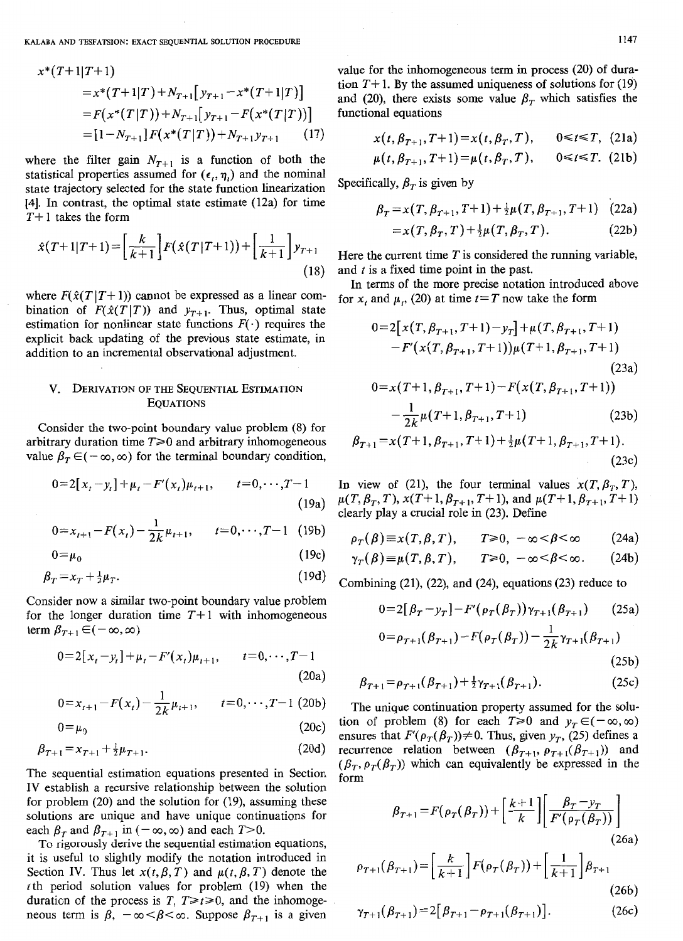KALABA AND TESFATSION: EXACT SEQUENTIAL SOLUTION PROCEDURE **1147** 

$$
x^*(T+1|T+1)
$$
  
=  $x^*(T+1|T) + N_{T+1}[y_{T+1} - x^*(T+1|T)]$   
=  $F(x^*(T|T)) + N_{T+1}[y_{T+1} - F(x^*(T|T))]$   
=  $[1 - N_{T+1}] F(x^*(T|T)) + N_{T+1}y_{T+1}$  (17)

where the filter gain  $N_{T+1}$  is a function of both the statistical properties assumed for  $(\epsilon_t, \eta_t)$  and the nominal statistical properties assumed for  $(e_i, \eta_i)$  and the hominal Specifically,  $\beta_T$  is given by state trajectory selected for the state function linearization [4]. In contrast, the optimal state estimate (12a) for time *T+* 1 takes the form

$$
\hat{x}(T+1|T+1) = \left[\frac{k}{k+1}\right] F(\hat{x}(T|T+1)) + \left[\frac{1}{k+1}\right] y_{T+1}
$$
\n(18)

where  $F(\hat{x}(T|T+1))$  cannot be expressed as a linear combination of  $F(\hat{x}(T|T))$  and  $y_{T+1}$ . Thus, optimal state estimation for nonlinear state functions  $F(\cdot)$  requires the explicit back updating of the previous state estimate, in addition to an incremental observational adjustment.

# V. **DERIVATION OF THE SEQUENTIAL ESTIMATION EQUATIONS**

Consider the two-point boundary value problem (8) for arbitrary duration time  $T \geq 0$  and arbitrary inhomogeneous value  $\beta_{\tau} \in (-\infty, \infty)$  for the terminal boundary condition,

$$
0=2[x_t-y_t]+\mu_t-F'(x_t)\mu_{t+1}, \qquad t=0,\cdots,T-1
$$
\n(19a)

$$
0 = x_{t+1} - F(x_t) - \frac{1}{2k} \mu_{t+1}, \qquad t = 0, \cdots, T-1 \quad (19b)
$$

 $0 = \mu_0$  (196)

$$
\beta_T = x_T + \frac{1}{2}\mu_T. \tag{19d}
$$

Consider now a similar two-point boundary value problem for the longer duration time  $T+1$  with inhomogeneous term  $\beta_{T+1} \in (-\infty, \infty)$ 

$$
0=2[x_t-y_t]+\mu_t-F'(x_t)\mu_{t+1}, \qquad t=0,\cdots,T-1
$$
\n(20a)

$$
0 = x_{t+1} - F(x_t) - \frac{1}{2k} \mu_{t+1}, \qquad t = 0, \cdots, T-1
$$
 (20b)

$$
0 = \mu_0 \tag{20c}
$$

$$
0 = \mu_0 \tag{20c}
$$
  

$$
\beta_{T+1} = x_{T+1} + \frac{1}{2}\mu_{T+1}.
$$
 (20d)

The sequential estimation equations presented in Section IV establish a recursive relationship between the solution for problem (20) and the solution for (19), assuming these solutions are unique and have unique continuations for each  $\beta_T$  and  $\beta_{T+1}$  in  $(-\infty, \infty)$  and each  $T>0$ .

To **rigorously derive** the sequential estimation equations, it is useful to slightly modify the notation introduced in Section IV. Thus let  $x(t, \beta, T)$  and  $\mu(t, \beta, T)$  denote the *t* th period solution values for problem (19) when the duration of the process is *T*,  $T \ge t \ge 0$ , and the inhomogeneous term is  $\beta$ ,  $-\infty < \beta < \infty$ . Suppose  $\beta_{T+1}$  is a given *x* value for the inhomogeneous term in process (20) of duration  $T+1$ . By the assumed uniqueness of solutions for (19) and (20), there exists some value  $\beta_T$  which satisfies the functional equations

$$
= [1 - N_{T+1}] F(x^*(T|T)) + N_{T+1} y_{T+1} \qquad (17) \qquad x(t, \beta_{T+1}, T+1) = x(t, \beta_T, T), \qquad 0 \le t \le T, \tag{21a}
$$

$$
\mu(t, \beta_{T+1}, T+1) = \mu(t, \beta_T, T), \qquad 0 \le t \le T.
$$
 (21b)

$$
\beta_T = x(T, \beta_{T+1}, T+1) + \frac{1}{2}\mu(T, \beta_{T+1}, T+1) \quad (22a)
$$

$$
=x(T,\beta_T,T)+\tfrac{1}{2}\mu(T,\beta_T,T). \tag{22b}
$$

Here the current time  $T$  is considered the running variable, and  $t$  is a fixed time point in the past.

In terms of the more precise notation introduced above for x, and  $\mu$ , (20) at time  $t=T$  now take the form

$$
0=2[x(T, \beta_{T+1}, T+1)-y_T]+\mu(T, \beta_{T+1}, T+1)-F'(x(T, \beta_{T+1}, T+1))\mu(T+1, \beta_{T+1}, T+1)(23a)0=x(T+1, \beta_{T+1}, T+1)-F(x(T, \beta_{T+1}, T+1))
$$

$$
-\frac{1}{2k}\mu(T+1,\beta_{T+1},T+1)
$$
 (23b)

$$
\beta_{T+1} = x(T+1, \beta_{T+1}, T+1) + \frac{1}{2}\mu(T+1, \beta_{T+1}, T+1). \tag{23c}
$$

In view of (21), the four terminal values  $x(T, \beta_T, T)$ ,  $\mu(T, \beta_T, T), x(T+1, \beta_{T+1}, T+1),$  and  $\mu(T+1, \beta_{T+1}, T+1)$ clearly play a crucial role in (23). Define

$$
\rho_T(\beta) \equiv x(T, \beta, T), \qquad T \ge 0, \ -\infty < \beta < \infty \tag{24a}
$$

$$
\gamma_T(\beta) \equiv \mu(T, \beta, T), \qquad T \ge 0, \ -\infty < \beta < \infty. \tag{24b}
$$

Combining (21), (22), and (24), equations (23) reduce to

$$
0=2[\beta_T - y_T] - F'(\rho_T(\beta_T))\gamma_{T+1}(\beta_{T+1}) \qquad (25a)
$$
  

$$
0 = \rho_{T+1}(\beta_{T+1}) - F(\rho_T(\beta_T)) - \frac{1}{2k}\gamma_{T+1}(\beta_{T+1})
$$

$$
(25b)
$$

$$
\beta_{T+1} = \rho_{T+1}(\beta_{T+1}) + \frac{1}{2}\gamma_{T+1}(\beta_{T+1}).
$$
\n(25c)

The unique continuation property assumed for the solution of problem (8) for each  $T\geq 0$  and  $y_T \in (-\infty, \infty)$ ensures that  $F'(\rho_T(\beta_T))\neq 0$ . Thus, given  $y_T$ , (25) defines a recurrence relation between  $(\beta_{T+1}, \rho_{T+1}(\beta_{T+1}))$  and  $(\beta_T, \rho_T(\beta_T))$  which can equivalently be expressed in the form

$$
\beta_{T+1} = F(\rho_T(\beta_T)) + \left[\frac{k+1}{k}\right] \left[\frac{\beta_T - y_T}{F'(\rho_T(\beta_T))}\right]
$$
\n(26a)

$$
\rho_{T+1}(\beta_{T+1}) = \left\lfloor \frac{k}{k+1} \right\rfloor F(\rho_T(\beta_T)) + \left\lfloor \frac{1}{k+1} \right\rfloor \beta_{T+1}
$$
\n(26b)

$$
\gamma_{T+1}(\beta_{T+1}) = 2[\beta_{T+1} - \rho_{T+1}(\beta_{T+1})]. \tag{26c}
$$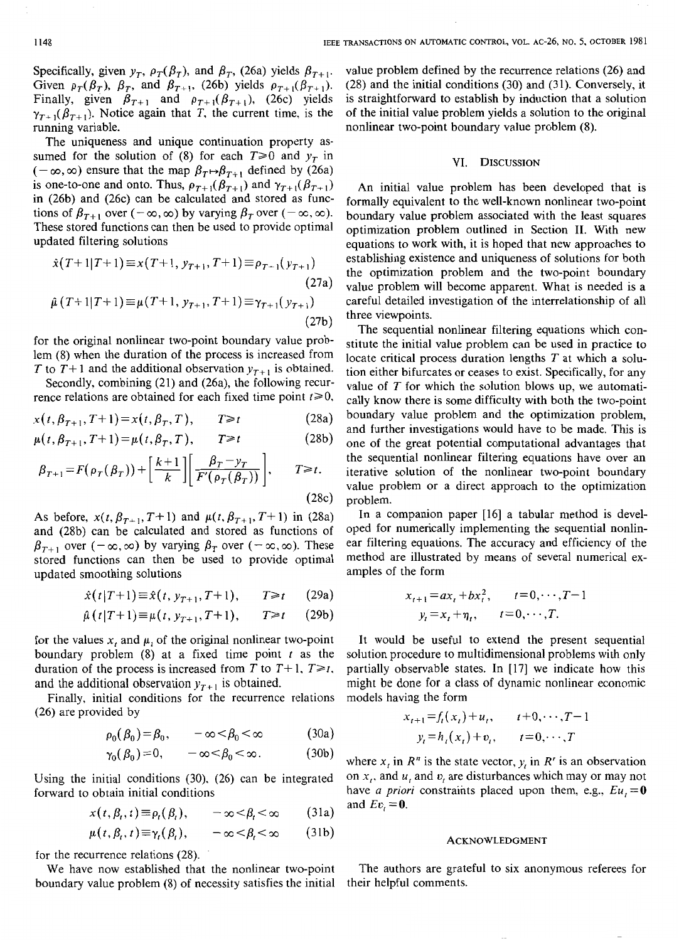Specifically, given  $y_T$ ,  $\rho_T(\beta_T)$ , and  $\beta_T$ , (26a) yields  $\beta_{T+1}$ . Finally, given  $\beta_{T+1}$  and  $\rho_{T+1}(\beta_{T+1})$ , (26c) yields  $\gamma_{T+1}(\beta_{T+1})$ . Notice again that *T*, the current time, is the running variable. Given  $\rho_T(\beta_T)$ ,  $\beta_T$ , and  $\beta_{T+1}$ , (26b) yields  $\rho_{T+1}(\beta_{T+1})$ .

The uniqueness and unique continuation property assumed for the solution of (8) for each  $T \ge 0$  and  $y<sub>T</sub>$  in  $(-\infty, \infty)$  ensure that the map  $\beta_T \mapsto \beta_{T+1}$  defined by (26a) is one-to-one and onto. Thus,  $\rho_{T+1}(\beta_{T+1})$  and  $\gamma_{T+1}(\beta_{T+1})$ in (26b) and (26c) can be calculated and stored as functions of  $\beta_{T+1}$  over  $(-\infty, \infty)$  by varying  $\beta_T$  over  $(-\infty, \infty)$ . These stored functions can then be used to provide optimal updated filtering solutions

$$
\hat{x}(T+1|T+1) \equiv x(T+1, y_{T+1}, T+1) \equiv \rho_{T-1}(y_{T+1})
$$
estains the op  
\n
$$
\hat{\mu}(T+1|T+1) \equiv \mu(T+1, y_{T+1}, T+1) \equiv \gamma_{T+1}(y_{T+1})
$$
careful  
\n(27b) three vi

for the original nonlinear two-point boundary value problem (8) when the duration of the process is increased from *T* to *T*+1 and the additional observation  $y_{T+1}$  is obtained.

Secondly, combining (21) and (26a), the following recurrence relations are obtained for each fixed time point  $t \ge 0$ ,

$$
x(t, \beta_{T+1}, T+1) = x(t, \beta_T, T), \qquad T \geq t \tag{28a}
$$

$$
\mu(t, \beta_{T+1}, T+1) = \mu(t, \beta_T, T), \qquad T \geq t \tag{28b}
$$

$$
\beta_{T+1} = F(\rho_T(\beta_T)) + \left[\frac{k+1}{k}\right] \left[\frac{\beta_T - y_T}{F'(\rho_T(\beta_T))}\right], \qquad T \ge t.
$$
\n(28c)

As before,  $x(t, \beta_{T+1}, T+1)$  and  $\mu(t, \beta_{T+1}, T+1)$  in (28a) and (28b) can be calculated and stored as functions of  $\beta_{T+1}$  over  $(-\infty, \infty)$  by varying  $\beta_T$  over  $(-\infty, \infty)$ . These stored functions can then be used to provide optimal updated smoothing solutions

$$
\hat{x}(t|T+1) \equiv \hat{x}(t, y_{T+1}, T+1), \qquad T \geq t \qquad (29a)
$$

$$
\hat{\mu}(t|T+1) \equiv \mu(t, y_{T+1}, T+1), \qquad T \geq t \qquad (29b)
$$

for the values  $x_t$  and  $\mu_t$  of the original nonlinear two-point boundary problem **(8)** at a fixed time point *t* as the duration of the process is increased from *T* to  $T+1$ ,  $T\geq t$ . and the additional observation  $y_{T+1}$  is obtained.

Finally, initial conditions for the recurrence relations (26) are provided by

$$
\rho_0(\beta_0) = \beta_0, \qquad -\infty < \beta_0 < \infty \tag{30a}
$$

$$
\gamma_0(\beta_0)=0, \qquad -\infty < \beta_0 < \infty. \tag{30b}
$$

Using the initial conditions (30). (26) can be integrated forward to obtain initial conditions

$$
x(t, \beta_t, t) \equiv \rho_t(\beta_t), \qquad -\infty < \beta_t < \infty \qquad (31a)
$$

$$
\mu(t, \beta_t, t) \equiv \gamma_t(\beta_t), \qquad -\infty < \beta_t < \infty \qquad (31b)
$$

for the recurrence relations (28).

We have now established that the nonlinear two-point boundary value problem (8) of necessity satisfies the initial value problem defined by the recurrence relations (26) and (28) and the initial conditions (30) and (31). Conversely, it is straightforward to establish by induction that a solution of the initial value problem yields a solution to the original nonlinear two-point boundary value problem (8).

#### VI. DISCUSSION

An initial value problem has been developed that is formally equivalent to the well-known nonlinear two-point boundary value problem associated with the least squares optimization problem outlined in Section 11. With new equations to work with, it is hoped that new approaches to establishing existence and uniqueness of solutions for both the optimization problem and the two-point boundary value problem will become apparent. What is needed is a careful detailed investigation of the interrelationship of all three viewpoints.

The sequential nonlinear filtering equations which constitute the initial value problem can be used in practice to locate critical process duration lengths *T* at which a solution either bifurcates or ceases to exist. Specifically, for any value of *T* for which the solution blows up, we automatically know there is some difficulty with both the two-point boundary value problem and the optimization problem, and further investigations would have to be made. This is one of the great potential computational advantages that the sequential nonlinear filtering equations have over an iterative solution of the nonlinear two-point boundary value problem or a direct approach to the optimization problem.

In a companion paper [16] a tabular method is developed for numerically implementing the sequential nonlinear filtering equations. The accuracy and efficiency of the method are illustrated by means of several numerical examples of the form

$$
x_{t+1} = ax_t + bx_t^2, \t t = 0, \dots, T-1
$$
  

$$
y_t = x_t + \eta_t, \t t = 0, \dots, T.
$$

It would be useful to extend the present sequential solution procedure to multidimensional problems with only partially observable states. In [17] we indicate how this might be done for a class of dynamic nonlinear economic models having the form

$$
x_{t+1} = f_t(x_t) + u_t, \t t+0, \dots, T-1
$$
  

$$
y_t = h_t(x_t) + v_t, \t t=0, \dots, T
$$

where  $x_i$  in  $R^n$  is the state vector,  $y_i$  in  $R^r$  is an observation on **x,.** and *u,* and *t',* are disturbances which may or may not have *a priori* constraints placed upon them, e.g.,  $Eu = 0$ and  $Ev<sub>i</sub> = 0$ .

#### ACKNOWLEDGMENT

The authors are grateful to six anonymous referees for their helpful comments.